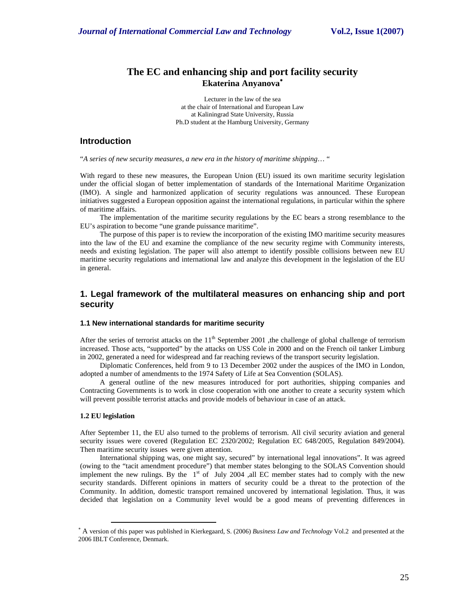# **The EC and enhancing ship and port facility security Ekaterina Anyanova**<sup>∗</sup>

Lecturer in the law of the sea at the chair of International and European Law at Kaliningrad State University, Russia Ph.D student at the Hamburg University, Germany

## **Introduction**

"*A series of new security measures, a new era in the history of maritime shipping*… "

With regard to these new measures, the European Union (EU) issued its own maritime security legislation under the official slogan of better implementation of standards of the International Maritime Organization (IMO). A single and harmonized application of security regulations was announced. These European initiatives suggested a European opposition against the international regulations, in particular within the sphere of maritime affairs.

The implementation of the maritime security regulations by the EC bears a strong resemblance to the EU's aspiration to become "une grande puissance maritime".

The purpose of this paper is to review the incorporation of the existing IMO maritime security measures into the law of the EU and examine the compliance of the new security regime with Community interests, needs and existing legislation. The paper will also attempt to identify possible collisions between new EU maritime security regulations and international law and analyze this development in the legislation of the EU in general.

# **1. Legal framework of the multilateral measures on enhancing ship and port security**

### **1.1 New international standards for maritime security**

After the series of terrorist attacks on the  $11<sup>th</sup>$  September 2001, the challenge of global challenge of terrorism increased. Those acts, "supported" by the attacks on USS Cole in 2000 and on the French oil tanker Limburg in 2002, generated a need for widespread and far reaching reviews of the transport security legislation.

Diplomatic Conferences, held from 9 to 13 December 2002 under the auspices of the IMO in London, adopted a number of amendments to the 1974 Safety of Life at Sea Convention (SOLAS).

A general outline of the new measures introduced for port authorities, shipping companies and Contracting Governments is to work in close cooperation with one another to create a security system which will prevent possible terrorist attacks and provide models of behaviour in case of an attack.

#### **1.2 EU legislation**

 $\overline{a}$ 

After September 11, the EU also turned to the problems of terrorism. All civil security aviation and general security issues were covered (Regulation EC 2320/2002; Regulation EC 648/2005, Regulation 849/2004). Then maritime security issues were given attention.

International shipping was, one might say, secured" by international legal innovations". It was agreed (owing to the "tacit amendment procedure") that member states belonging to the SOLAS Convention should implement the new rulings. By the  $1<sup>st</sup>$  of July 2004 ,all EC member states had to comply with the new security standards. Different opinions in matters of security could be a threat to the protection of the Community. In addition, domestic transport remained uncovered by international legislation. Thus, it was decided that legislation on a Community level would be a good means of preventing differences in

<sup>∗</sup> A version of this paper was published in Kierkegaard, S. (2006) *Business Law and Technology* Vol.2 and presented at the 2006 IBLT Conference, Denmark.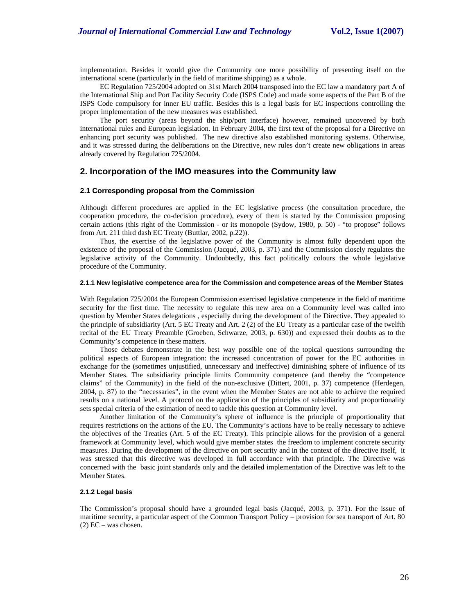implementation. Besides it would give the Community one more possibility of presenting itself on the international scene (particularly in the field of maritime shipping) as a whole.

EC Regulation 725/2004 adopted on 31st March 2004 transposed into the EC law a mandatory part A of the International Ship and Port Facility Security Code (ISPS Code) and made some aspects of the Part B of the ISPS Code compulsory for inner EU traffic. Besides this is a legal basis for EC inspections controlling the proper implementation of the new measures was established.

The port security (areas beyond the ship/port interface) however, remained uncovered by both international rules and European legislation. In February 2004, the first text of the proposal for a Directive on enhancing port security was published. The new directive also established monitoring systems. Otherwise, and it was stressed during the deliberations on the Directive, new rules don't create new obligations in areas already covered by Regulation 725/2004.

### **2. Incorporation of the IMO measures into the Community law**

#### **2.1 Corresponding proposal from the Commission**

Although different procedures are applied in the EC legislative process (the consultation procedure, the cooperation procedure, the co-decision procedure), every of them is started by the Commission proposing certain actions (this right of the Commission - or its monopole (Sydow, 1980, p. 50) - "to propose" follows from Art. 211 third dash EC Treaty (Buttlar, 2002, p.22)).

Thus, the exercise of the legislative power of the Community is almost fully dependent upon the existence of the proposal of the Commission (Jacqué, 2003, p. 371) and the Commission closely regulates the legislative activity of the Community. Undoubtedly, this fact politically colours the whole legislative procedure of the Community.

#### **2.1.1 New legislative competence area for the Commission and competence areas of the Member States**

With Regulation 725/2004 the European Commission exercised legislative competence in the field of maritime security for the first time. The necessity to regulate this new area on a Community level was called into question by Member States delegations , especially during the development of the Directive. They appealed to the principle of subsidiarity (Art. 5 EC Treaty and Art. 2 (2) of the EU Treaty as a particular case of the twelfth recital of the EU Treaty Preamble (Groeben, Schwarze, 2003, p. 630)) and expressed their doubts as to the Community's competence in these matters.

Those debates demonstrate in the best way possible one of the topical questions surrounding the political aspects of European integration: the increased concentration of power for the EC authorities in exchange for the (sometimes unjustified, unnecessary and ineffective) diminishing sphere of influence of its Member States. The subsidiarity principle limits Community competence (and thereby the "competence claims" of the Community) in the field of the non-exclusive (Dittert, 2001, p. 37) competence (Herdegen, 2004, p. 87) to the "necessaries", in the event when the Member States are not able to achieve the required results on a national level. A protocol on the application of the principles of subsidiarity and proportionality sets special criteria of the estimation of need to tackle this question at Community level.

Another limitation of the Community's sphere of influence is the principle of proportionality that requires restrictions on the actions of the EU. The Community's actions have to be really necessary to achieve the objectives of the Treaties (Art. 5 of the EC Treaty). This principle allows for the provision of a general framework at Community level, which would give member states the freedom to implement concrete security measures. During the development of the directive on port security and in the context of the directive itself, it was stressed that this directive was developed in full accordance with that principle. The Directive was concerned with the basic joint standards only and the detailed implementation of the Directive was left to the Member States.

#### **2.1.2 Legal basis**

The Commission's proposal should have a grounded legal basis (Jacqué, 2003, p. 371). For the issue of maritime security, a particular aspect of the Common Transport Policy – provision for sea transport of Art. 80  $(2) EC - was chosen.$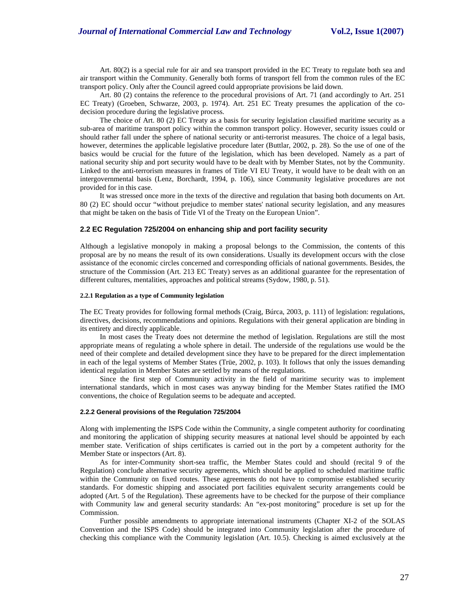Art. 80(2) is a special rule for air and sea transport provided in the EC Treaty to regulate both sea and air transport within the Community. Generally both forms of transport fell from the common rules of the EC transport policy. Only after the Council agreed could appropriate provisions be laid down.

Art. 80 (2) contains the reference to the procedural provisions of Art. 71 (and accordingly to Art. 251 EC Treaty) (Groeben, Schwarze, 2003, p. 1974). Art. 251 EC Treaty presumes the application of the codecision procedure during the legislative process.

The choice of Art. 80 (2) EC Treaty as a basis for security legislation classified maritime security as a sub-area of maritime transport policy within the common transport policy. However, security issues could or should rather fall under the sphere of national security or anti-terrorist measures. The choice of a legal basis, however, determines the applicable legislative procedure later (Buttlar, 2002, p. 28). So the use of one of the basics would be crucial for the future of the legislation, which has been developed. Namely as a part of national security ship and port security would have to be dealt with by Member States, not by the Community. Linked to the anti-terrorism measures in frames of Title VI EU Treaty, it would have to be dealt with on an intergovernmental basis (Lenz, Borchardt, 1994, p. 106), since Community legislative procedures are not provided for in this case.

It was stressed once more in the texts of the directive and regulation that basing both documents on Art. 80 (2) EC should occur "without prejudice to member states' national security legislation, and any measures that might be taken on the basis of Title VI of the Treaty on the European Union".

#### **2.2 EC Regulation 725/2004 on enhancing ship and port facility security**

Although a legislative monopoly in making a proposal belongs to the Commission, the contents of this proposal are by no means the result of its own considerations. Usually its development occurs with the close assistance of the economic circles concerned and corresponding officials of national governments. Besides, the structure of the Commission (Art. 213 EC Treaty) serves as an additional guarantee for the representation of different cultures, mentalities, approaches and political streams (Sydow, 1980, p. 51).

#### **2.2.1 Regulation as a type of Community legislation**

The EC Treaty provides for following formal methods (Craig, Búrca, 2003, p. 111) of legislation: regulations, directives, decisions, recommendations and opinions. Regulations with their general application are binding in its entirety and directly applicable.

In most cases the Treaty does not determine the method of legislation. Regulations are still the most appropriate means of regulating a whole sphere in detail. The underside of the regulations use would be the need of their complete and detailed development since they have to be prepared for the direct implementation in each of the legal systems of Member States (Trüe, 2002, p. 103). It follows that only the issues demanding identical regulation in Member States are settled by means of the regulations.

Since the first step of Community activity in the field of maritime security was to implement international standards, which in most cases was anyway binding for the Member States ratified the IMO conventions, the choice of Regulation seems to be adequate and accepted.

#### **2.2.2 General provisions of the Regulation 725/2004**

Along with implementing the ISPS Code within the Community, a single competent authority for coordinating and monitoring the application of shipping security measures at national level should be appointed by each member state. Verification of ships certificates is carried out in the port by a competent authority for the Member State or inspectors (Art. 8).

As for inter-Community short-sea traffic, the Member States could and should (recital 9 of the Regulation) conclude alternative security agreements, which should be applied to scheduled maritime traffic within the Community on fixed routes. These agreements do not have to compromise established security standards. For domestic shipping and associated port facilities equivalent security arrangements could be adopted (Art. 5 of the Regulation). These agreements have to be checked for the purpose of their compliance with Community law and general security standards: An "ex-post monitoring" procedure is set up for the Commission.

Further possible amendments to appropriate international instruments (Chapter XI-2 of the SOLAS Convention and the ISPS Code) should be integrated into Community legislation after the procedure of checking this compliance with the Community legislation (Art. 10.5). Checking is aimed exclusively at the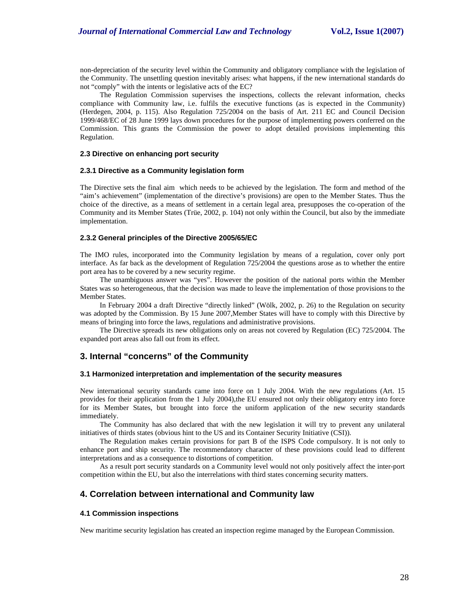non-depreciation of the security level within the Community and obligatory compliance with the legislation of the Community. The unsettling question inevitably arises: what happens, if the new international standards do not "comply" with the intents or legislative acts of the EC?

The Regulation Commission supervises the inspections, collects the relevant information, checks compliance with Community law, i.e. fulfils the executive functions (as is expected in the Community) (Herdegen, 2004, p. 115). Also Regulation 725/2004 on the basis of Art. 211 EC and Council Decision 1999/468/EC of 28 June 1999 lays down procedures for the purpose of implementing powers conferred on the Commission. This grants the Commission the power to adopt detailed provisions implementing this Regulation.

#### **2.3 Directive on enhancing port security**

### **2.3.1 Directive as a Community legislation form**

The Directive sets the final aim which needs to be achieved by the legislation. The form and method of the "aim's achievement" (implementation of the directive's provisions) are open to the Member States. Thus the choice of the directive, as a means of settlement in a certain legal area, presupposes the co-operation of the Community and its Member States (Trüe, 2002, p. 104) not only within the Council, but also by the immediate implementation.

#### **2.3.2 General principles of the Directive 2005/65/EC**

The IMO rules, incorporated into the Community legislation by means of a regulation, cover only port interface. As far back as the development of Regulation 725/2004 the questions arose as to whether the entire port area has to be covered by a new security regime.

The unambiguous answer was "yes". However the position of the national ports within the Member States was so heterogeneous, that the decision was made to leave the implementation of those provisions to the Member States.

In February 2004 a draft Directive "directly linked" (Wölk, 2002, p. 26) to the Regulation on security was adopted by the Commission. By 15 June 2007,Member States will have to comply with this Directive by means of bringing into force the laws, regulations and administrative provisions.

The Directive spreads its new obligations only on areas not covered by Regulation (EC) 725/2004. The expanded port areas also fall out from its effect.

# **3. Internal "concerns" of the Community**

#### **3.1 Harmonized interpretation and implementation of the security measures**

New international security standards came into force on 1 July 2004. With the new regulations (Art. 15 provides for their application from the 1 July 2004),the EU ensured not only their obligatory entry into force for its Member States, but brought into force the uniform application of the new security standards immediately.

The Community has also declared that with the new legislation it will try to prevent any unilateral initiatives of thirds states (obvious hint to the US and its Container Security Initiative (CSI)).

The Regulation makes certain provisions for part B of the ISPS Code compulsory. It is not only to enhance port and ship security. The recommendatory character of these provisions could lead to different interpretations and as a consequence to distortions of competition.

As a result port security standards on a Community level would not only positively affect the inter-port competition within the EU, but also the interrelations with third states concerning security matters.

### **4. Correlation between international and Community law**

#### **4.1 Commission inspections**

New maritime security legislation has created an inspection regime managed by the European Commission.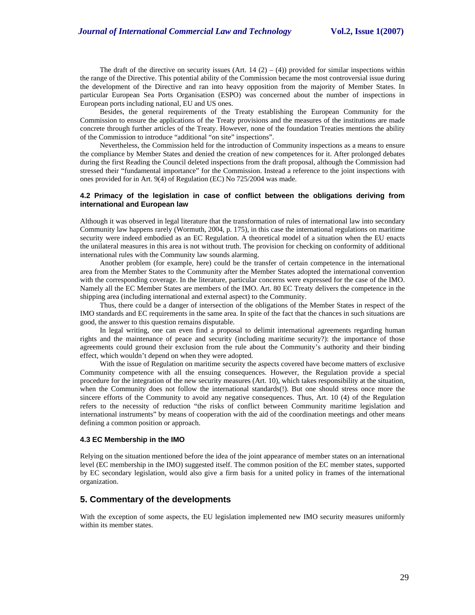The draft of the directive on security issues (Art. 14  $(2) - (4)$ ) provided for similar inspections within the range of the Directive. This potential ability of the Commission became the most controversial issue during the development of the Directive and ran into heavy opposition from the majority of Member States. In particular European Sea Ports Organisation (ESPO) was concerned about the number of inspections in European ports including national, EU and US ones.

Besides, the general requirements of the Treaty establishing the European Community for the Commission to ensure the applications of the Treaty provisions and the measures of the institutions are made concrete through further articles of the Treaty. However, none of the foundation Treaties mentions the ability of the Commission to introduce "additional "on site" inspections".

Nevertheless, the Commission held for the introduction of Community inspections as a means to ensure the compliance by Member States and denied the creation of new competences for it. After prolonged debates during the first Reading the Council deleted inspections from the draft proposal, although the Commission had stressed their "fundamental importance" for the Commission. Instead a reference to the joint inspections with ones provided for in Art. 9(4) of Regulation (EC) No 725/2004 was made.

### **4.2 Primacy of the legislation in case of conflict between the obligations deriving from international and European law**

Although it was observed in legal literature that the transformation of rules of international law into secondary Community law happens rarely (Wormuth, 2004, p. 175), in this case the international regulations on maritime security were indeed embodied as an EC Regulation. A theoretical model of a situation when the EU enacts the unilateral measures in this area is not without truth. The provision for checking on conformity of additional international rules with the Community law sounds alarming.

Another problem (for example, here) could be the transfer of certain competence in the international area from the Member States to the Community after the Member States adopted the international convention with the corresponding coverage. In the literature, particular concerns were expressed for the case of the IMO. Namely all the EC Member States are members of the IMO. Art. 80 EC Treaty delivers the competence in the shipping area (including international and external aspect) to the Community.

Thus, there could be a danger of intersection of the obligations of the Member States in respect of the IMO standards and EC requirements in the same area. In spite of the fact that the chances in such situations are good, the answer to this question remains disputable.

In legal writing, one can even find a proposal to delimit international agreements regarding human rights and the maintenance of peace and security (including maritime security?): the importance of those agreements could ground their exclusion from the rule about the Community's authority and their binding effect, which wouldn't depend on when they were adopted.

With the issue of Regulation on maritime security the aspects covered have become matters of exclusive Community competence with all the ensuing consequences. However, the Regulation provide a special procedure for the integration of the new security measures (Art. 10), which takes responsibility at the situation, when the Community does not follow the international standards(!). But one should stress once more the sincere efforts of the Community to avoid any negative consequences. Thus, Art. 10 (4) of the Regulation refers to the necessity of reduction "the risks of conflict between Community maritime legislation and international instruments" by means of cooperation with the aid of the coordination meetings and other means defining a common position or approach.

### **4.3 EC Membership in the IMO**

Relying on the situation mentioned before the idea of the joint appearance of member states on an international level (EC membership in the IMO) suggested itself. The common position of the EC member states, supported by EC secondary legislation, would also give a firm basis for a united policy in frames of the international organization.

# **5. Commentary of the developments**

With the exception of some aspects, the EU legislation implemented new IMO security measures uniformly within its member states.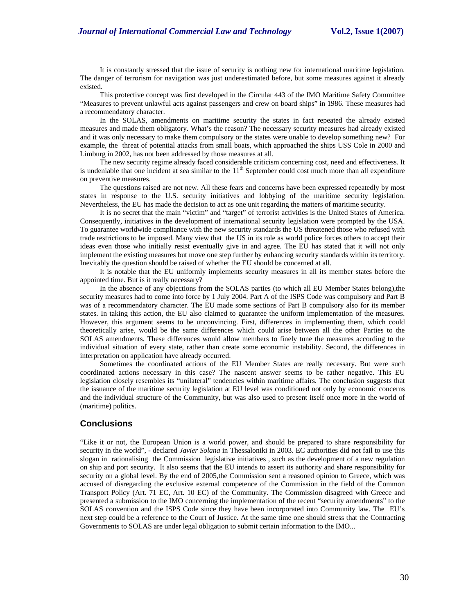It is constantly stressed that the issue of security is nothing new for international maritime legislation. The danger of terrorism for navigation was just underestimated before, but some measures against it already existed.

This protective concept was first developed in the Circular 443 of the IMO Maritime Safety Committee "Measures to prevent unlawful acts against passengers and crew on board ships" in 1986. These measures had a recommendatory character.

In the SOLAS, amendments on maritime security the states in fact repeated the already existed measures and made them obligatory. What's the reason? The necessary security measures had already existed and it was only necessary to make them compulsory or the states were unable to develop something new? For example, the threat of potential attacks from small boats, which approached the ships USS Cole in 2000 and Limburg in 2002, has not been addressed by those measures at all.

The new security regime already faced considerable criticism concerning cost, need and effectiveness. It is undeniable that one incident at sea similar to the  $11<sup>th</sup>$  September could cost much more than all expenditure on preventive measures.

The questions raised are not new. All these fears and concerns have been expressed repeatedly by most states in response to the U.S. security initiatives and lobbying of the maritime security legislation. Nevertheless, the EU has made the decision to act as one unit regarding the matters of maritime security.

It is no secret that the main "victim" and "target" of terrorist activities is the United States of America. Consequently, initiatives in the development of international security legislation were prompted by the USA. To guarantee worldwide compliance with the new security standards the US threatened those who refused with trade restrictions to be imposed. Many view that the US in its role as world police forces others to accept their ideas even those who initially resist eventually give in and agree. The EU has stated that it will not only implement the existing measures but move one step further by enhancing security standards within its territory. Inevitably the question should be raised of whether the EU should be concerned at all.

It is notable that the EU uniformly implements security measures in all its member states before the appointed time. But is it really necessary?

In the absence of any objections from the SOLAS parties (to which all EU Member States belong),the security measures had to come into force by 1 July 2004. Part A of the ISPS Code was compulsory and Part B was of a recommendatory character. The EU made some sections of Part B compulsory also for its member states. In taking this action, the EU also claimed to guarantee the uniform implementation of the measures. However, this argument seems to be unconvincing. First, differences in implementing them, which could theoretically arise, would be the same differences which could arise between all the other Parties to the SOLAS amendments. These differences would allow members to finely tune the measures according to the individual situation of every state, rather than create some economic instability. Second, the differences in interpretation on application have already occurred.

Sometimes the coordinated actions of the EU Member States are really necessary. But were such coordinated actions necessary in this case? The nascent answer seems to be rather negative. This EU legislation closely resembles its "unilateral" tendencies within maritime affairs. The conclusion suggests that the issuance of the maritime security legislation at EU level was conditioned not only by economic concerns and the individual structure of the Community, but was also used to present itself once more in the world of (maritime) politics.

## **Conclusions**

"Like it or not, the European Union is a world power, and should be prepared to share responsibility for security in the world", - declared *Javier Solana* in Thessaloniki in 2003. EC authorities did not fail to use this slogan in rationalising the Commission legislative initiatives , such as the development of a new regulation on ship and port security. It also seems that the EU intends to assert its authority and share responsibility for security on a global level. By the end of 2005, the Commission sent a reasoned opinion to Greece, which was accused of disregarding the exclusive external competence of the Commission in the field of the Common Transport Policy (Art. 71 EC, Art. 10 EC) of the Community. The Commission disagreed with Greece and presented a submission to the IMO concerning the implementation of the recent "security amendments" to the SOLAS convention and the ISPS Code since they have been incorporated into Community law. The EU's next step could be a reference to the Court of Justice. At the same time one should stress that the Contracting Governments to SOLAS are under legal obligation to submit certain information to the IMO...